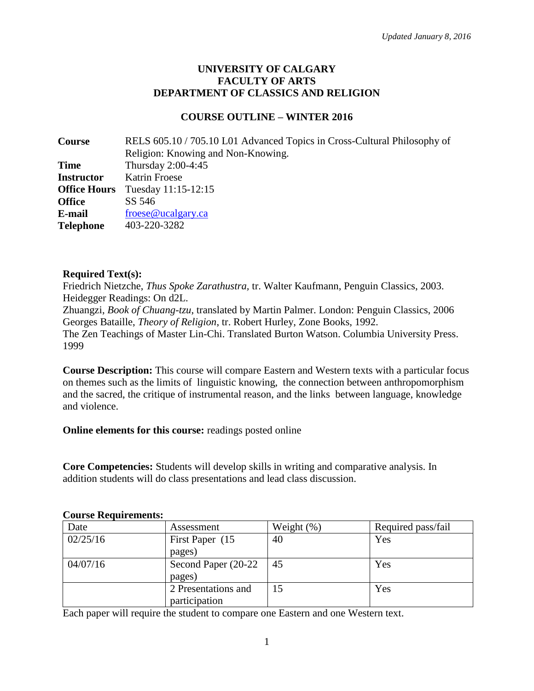#### **UNIVERSITY OF CALGARY FACULTY OF ARTS DEPARTMENT OF CLASSICS AND RELIGION**

### **COURSE OUTLINE – WINTER 2016**

| Course              | RELS 605.10 / 705.10 L01 Advanced Topics in Cross-Cultural Philosophy of |
|---------------------|--------------------------------------------------------------------------|
|                     | Religion: Knowing and Non-Knowing.                                       |
| <b>Time</b>         | Thursday 2:00-4:45                                                       |
| <b>Instructor</b>   | <b>Katrin Froese</b>                                                     |
| <b>Office Hours</b> | Tuesday 11:15-12:15                                                      |
| <b>Office</b>       | SS 546                                                                   |
| E-mail              | frees@ucalgary.ca                                                        |
| <b>Telephone</b>    | 403-220-3282                                                             |

#### **Required Text(s):**

Friedrich Nietzche, *Thus Spoke Zarathustra,* tr. Walter Kaufmann, Penguin Classics, 2003. Heidegger Readings: On d2L.

Zhuangzi, *Book of Chuang-tzu*, translated by Martin Palmer. London: Penguin Classics, 2006 Georges Bataille, *Theory of Religion*, tr. Robert Hurley, Zone Books, 1992.

The Zen Teachings of Master Lin-Chi. Translated Burton Watson. Columbia University Press. 1999

**Course Description:** This course will compare Eastern and Western texts with a particular focus on themes such as the limits of linguistic knowing, the connection between anthropomorphism and the sacred, the critique of instrumental reason, and the links between language, knowledge and violence.

**Online elements for this course:** readings posted online

**Core Competencies:** Students will develop skills in writing and comparative analysis. In addition students will do class presentations and lead class discussion.

| Date     | Assessment                           | Weight $(\%)$ | Required pass/fail |
|----------|--------------------------------------|---------------|--------------------|
| 02/25/16 | First Paper (15)<br>pages)           | 40            | Yes                |
| 04/07/16 | Second Paper (20-22)<br>pages)       | -45           | Yes                |
|          | 2 Presentations and<br>participation |               | Yes                |

#### **Course Requirements:**

Each paper will require the student to compare one Eastern and one Western text.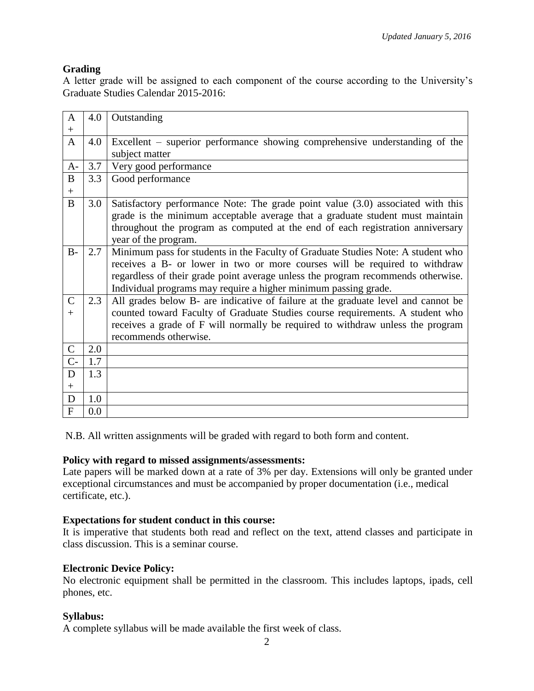## **Grading**

A letter grade will be assigned to each component of the course according to the University's Graduate Studies Calendar 2015-2016:

| $\mathbf{A}$   | 4.0 | Outstanding                                                                       |
|----------------|-----|-----------------------------------------------------------------------------------|
| $+$            |     |                                                                                   |
| $\mathbf{A}$   | 4.0 | Excellent – superior performance showing comprehensive understanding of the       |
|                |     | subject matter                                                                    |
| $A-$           | 3.7 | Very good performance                                                             |
| $\bf{B}$       | 3.3 | Good performance                                                                  |
| $+$            |     |                                                                                   |
| B              | 3.0 | Satisfactory performance Note: The grade point value (3.0) associated with this   |
|                |     | grade is the minimum acceptable average that a graduate student must maintain     |
|                |     | throughout the program as computed at the end of each registration anniversary    |
|                |     | year of the program.                                                              |
| $B -$          | 2.7 | Minimum pass for students in the Faculty of Graduate Studies Note: A student who  |
|                |     | receives a B- or lower in two or more courses will be required to withdraw        |
|                |     | regardless of their grade point average unless the program recommends otherwise.  |
|                |     | Individual programs may require a higher minimum passing grade.                   |
| $\mathcal{C}$  | 2.3 | All grades below B- are indicative of failure at the graduate level and cannot be |
| $+$            |     | counted toward Faculty of Graduate Studies course requirements. A student who     |
|                |     | receives a grade of F will normally be required to withdraw unless the program    |
|                |     | recommends otherwise.                                                             |
| $\mathsf{C}$   | 2.0 |                                                                                   |
| $C-$           | 1.7 |                                                                                   |
| D              | 1.3 |                                                                                   |
| $+$            |     |                                                                                   |
| D              | 1.0 |                                                                                   |
| $\overline{F}$ | 0.0 |                                                                                   |

N.B. All written assignments will be graded with regard to both form and content.

#### **Policy with regard to missed assignments/assessments:**

Late papers will be marked down at a rate of 3% per day. Extensions will only be granted under exceptional circumstances and must be accompanied by proper documentation (i.e., medical certificate, etc.).

### **Expectations for student conduct in this course:**

It is imperative that students both read and reflect on the text, attend classes and participate in class discussion. This is a seminar course.

#### **Electronic Device Policy:**

No electronic equipment shall be permitted in the classroom. This includes laptops, ipads, cell phones, etc.

### **Syllabus:**

A complete syllabus will be made available the first week of class.